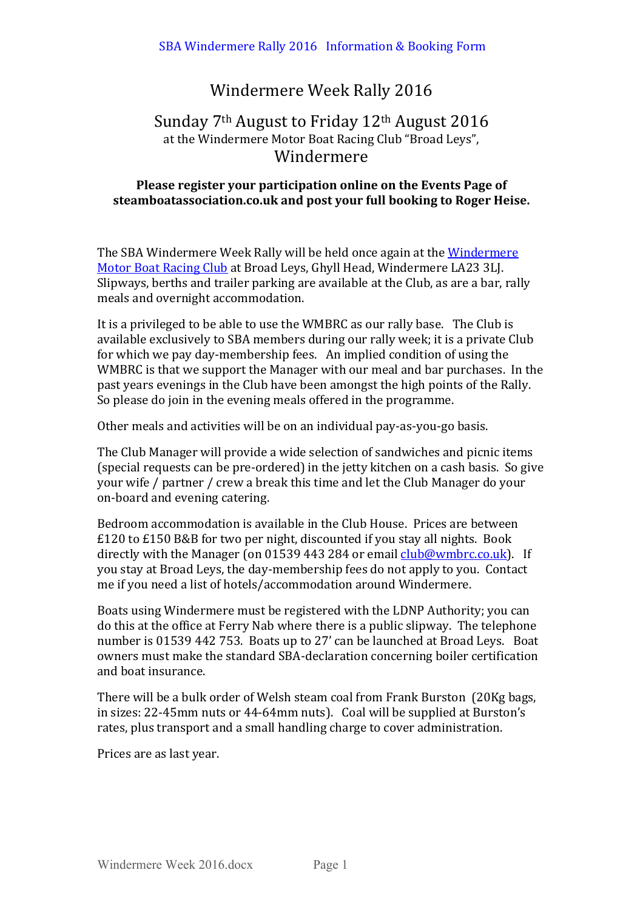# Windermere Week Rally 2016

## Sunday  $7<sup>th</sup>$  August to Friday  $12<sup>th</sup>$  August  $2016$ at the Windermere Motor Boat Racing Club "Broad Leys", Windermere

## **Please register your participation online on the Events Page of** steamboatassociation.co.uk and post your full booking to Roger Heise.

The SBA Windermere Week Rally will be held once again at the Windermere Motor Boat Racing Club at Broad Leys, Ghyll Head, Windermere LA23 3LJ. Slipways, berths and trailer parking are available at the Club, as are a bar, rally meals and overnight accommodation.

It is a privileged to be able to use the WMBRC as our rally base. The Club is available exclusively to SBA members during our rally week; it is a private Club for which we pay day-membership fees. An implied condition of using the WMBRC is that we support the Manager with our meal and bar purchases. In the past years evenings in the Club have been amongst the high points of the Rally. So please do join in the evening meals offered in the programme.

Other meals and activities will be on an individual pay-as-you-go basis.

The Club Manager will provide a wide selection of sandwiches and picnic items (special requests can be pre-ordered) in the jetty kitchen on a cash basis. So give your wife / partner / crew a break this time and let the Club Manager do your on-board and evening catering.

Bedroom accommodation is available in the Club House. Prices are between  $£120$  to  $£150$  B&B for two per night, discounted if you stay all nights. Book directly with the Manager (on 01539 443 284 or email  $\frac{\text{club@wmbro.co.uk}}{\text{club@wmbro.co.uk}}$ . If you stay at Broad Leys, the day-membership fees do not apply to you. Contact me if you need a list of hotels/accommodation around Windermere.

Boats using Windermere must be registered with the LDNP Authority; you can do this at the office at Ferry Nab where there is a public slipway. The telephone number is 01539 442 753. Boats up to 27' can be launched at Broad Leys. Boat owners must make the standard SBA-declaration concerning boiler certification and boat insurance.

There will be a bulk order of Welsh steam coal from Frank Burston (20Kg bags, in sizes: 22-45mm nuts or 44-64mm nuts). Coal will be supplied at Burston's rates, plus transport and a small handling charge to cover administration.

Prices are as last year.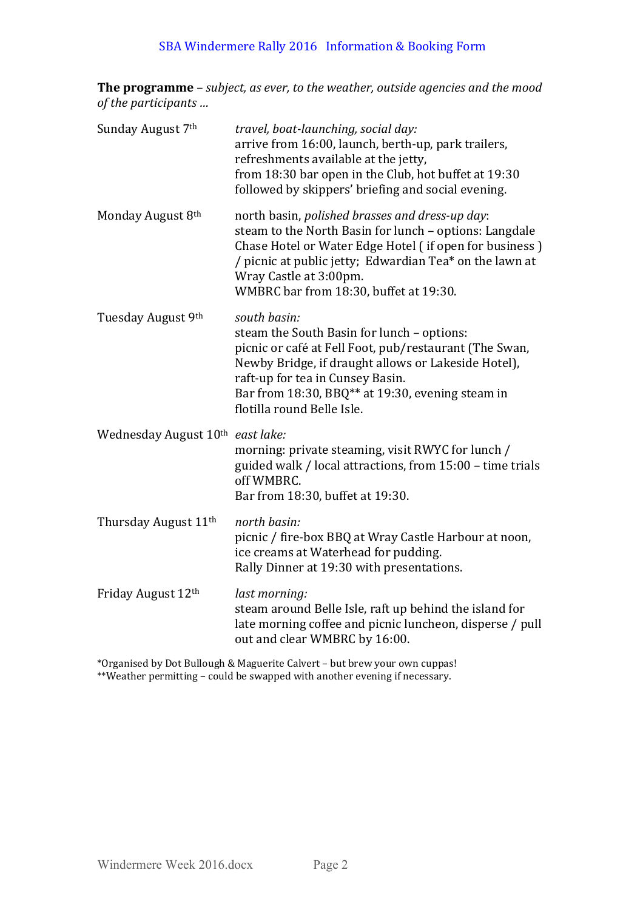## SBA Windermere Rally 2016 Information & Booking Form

**The programme** – *subject, as ever, to the weather, outside agencies and the mood of the participants ...* 

| Sunday August 7th                | travel, boat-launching, social day:<br>arrive from 16:00, launch, berth-up, park trailers,<br>refreshments available at the jetty,<br>from 18:30 bar open in the Club, hot buffet at 19:30<br>followed by skippers' briefing and social evening.                                                   |
|----------------------------------|----------------------------------------------------------------------------------------------------------------------------------------------------------------------------------------------------------------------------------------------------------------------------------------------------|
| Monday August 8th                | north basin, polished brasses and dress-up day:<br>steam to the North Basin for lunch - options: Langdale<br>Chase Hotel or Water Edge Hotel (if open for business)<br>/ picnic at public jetty; Edwardian Tea* on the lawn at<br>Wray Castle at 3:00pm.<br>WMBRC bar from 18:30, buffet at 19:30. |
| Tuesday August 9th               | south basin:<br>steam the South Basin for lunch - options:<br>picnic or café at Fell Foot, pub/restaurant (The Swan,<br>Newby Bridge, if draught allows or Lakeside Hotel),<br>raft-up for tea in Cunsey Basin.<br>Bar from 18:30, BBQ** at 19:30, evening steam in<br>flotilla round Belle Isle.  |
| Wednesday August 10th east lake: | morning: private steaming, visit RWYC for lunch /<br>guided walk / local attractions, from 15:00 - time trials<br>off WMBRC.<br>Bar from 18:30, buffet at 19:30.                                                                                                                                   |
| Thursday August 11 <sup>th</sup> | north basin:<br>picnic / fire-box BBQ at Wray Castle Harbour at noon,<br>ice creams at Waterhead for pudding.<br>Rally Dinner at 19:30 with presentations.                                                                                                                                         |
| Friday August 12th               | last morning:<br>steam around Belle Isle, raft up behind the island for<br>late morning coffee and picnic luncheon, disperse / pull<br>out and clear WMBRC by 16:00.                                                                                                                               |

\*Organised by Dot Bullough & Maguerite Calvert – but brew your own cuppas! \*\*Weather permitting - could be swapped with another evening if necessary.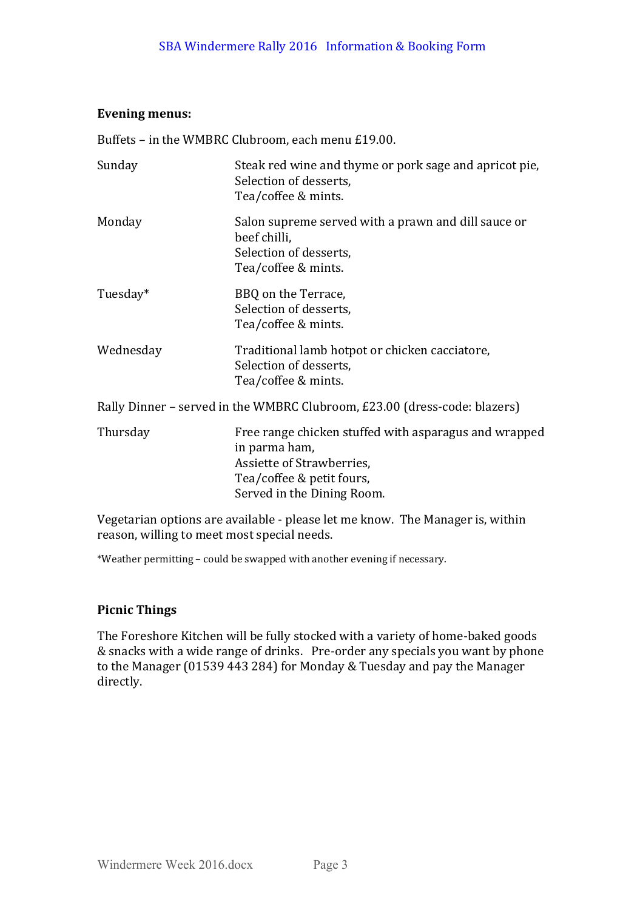### Evening menus:

Buffets - in the WMBRC Clubroom, each menu £19.00.

| Sunday                                                                    | Steak red wine and thyme or pork sage and apricot pie,<br>Selection of desserts,<br>Tea/coffee & mints.                                                        |  |  |  |
|---------------------------------------------------------------------------|----------------------------------------------------------------------------------------------------------------------------------------------------------------|--|--|--|
| Monday                                                                    | Salon supreme served with a prawn and dill sauce or<br>beef chilli,<br>Selection of desserts,<br>Tea/coffee & mints.                                           |  |  |  |
| Tuesday*                                                                  | BBQ on the Terrace,<br>Selection of desserts,<br>Tea/coffee & mints.                                                                                           |  |  |  |
| Wednesday                                                                 | Traditional lamb hotpot or chicken cacciatore,<br>Selection of desserts,<br>Tea/coffee & mints.                                                                |  |  |  |
| Rally Dinner - served in the WMBRC Clubroom, £23.00 (dress-code: blazers) |                                                                                                                                                                |  |  |  |
| Thursday                                                                  | Free range chicken stuffed with asparagus and wrapped<br>in parma ham,<br>Assiette of Strawberries,<br>Tea/coffee & petit fours,<br>Served in the Dining Room. |  |  |  |

Vegetarian options are available - please let me know. The Manager is, within reason, willing to meet most special needs.

\*Weather permitting - could be swapped with another evening if necessary.

## **Picnic Things**

The Foreshore Kitchen will be fully stocked with a variety of home-baked goods & snacks with a wide range of drinks. Pre-order any specials you want by phone to the Manager (01539 443 284) for Monday & Tuesday and pay the Manager directly.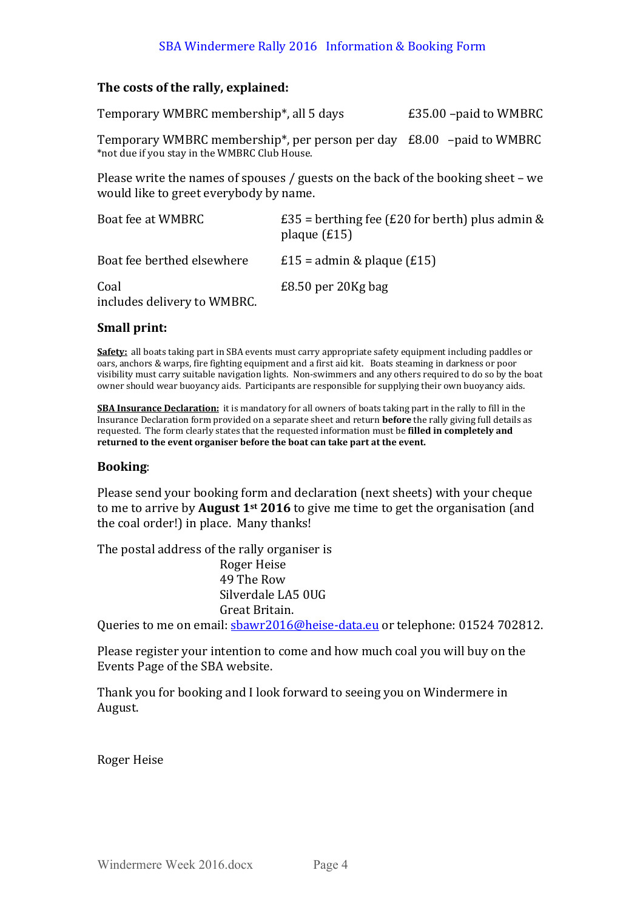## SBA Windermere Rally 2016 Information & Booking Form

#### The costs of the rally, explained:

Temporary WMBRC membership<sup>\*</sup>, all 5 days E35.00 –paid to WMBRC Temporary WMBRC membership\*, per person per day  $£8.00$  –paid to WMBRC \*not due if you stay in the WMBRC Club House.

Please write the names of spouses / guests on the back of the booking sheet – we would like to greet everybody by name.

| Boat fee at WMBRC                   | £35 = berthing fee (£20 for berth) plus admin &<br>plaque $(f15)$ |
|-------------------------------------|-------------------------------------------------------------------|
| Boat fee berthed elsewhere          | £15 = admin & plaque $(E15)$                                      |
| Coal<br>includes delivery to WMBRC. | $£8.50$ per 20Kg bag                                              |

#### **Small print:**

**Safety:** all boats taking part in SBA events must carry appropriate safety equipment including paddles or oars, anchors & warps, fire fighting equipment and a first aid kit. Boats steaming in darkness or poor visibility must carry suitable navigation lights. Non-swimmers and any others required to do so by the boat owner should wear buoyancy aids. Participants are responsible for supplying their own buoyancy aids.

**SBA Insurance Declaration:** it is mandatory for all owners of boats taking part in the rally to fill in the Insurance Declaration form provided on a separate sheet and return **before** the rally giving full details as requested. The form clearly states that the requested information must be **filled in completely and** returned to the event organiser before the boat can take part at the event.

#### **Booking**:

Please send your booking form and declaration (next sheets) with your cheque to me to arrive by **August 1**<sup>st</sup> 2016 to give me time to get the organisation (and the coal order!) in place. Many thanks!

The postal address of the rally organiser is Roger Heise 49 The Row Silverdale LA5 0UG Great Britain.

Queries to me on email: sbawr2016@heise-data.eu or telephone: 01524 702812.

Please register your intention to come and how much coal you will buy on the Events Page of the SBA website.

Thank you for booking and I look forward to seeing you on Windermere in August.

Roger Heise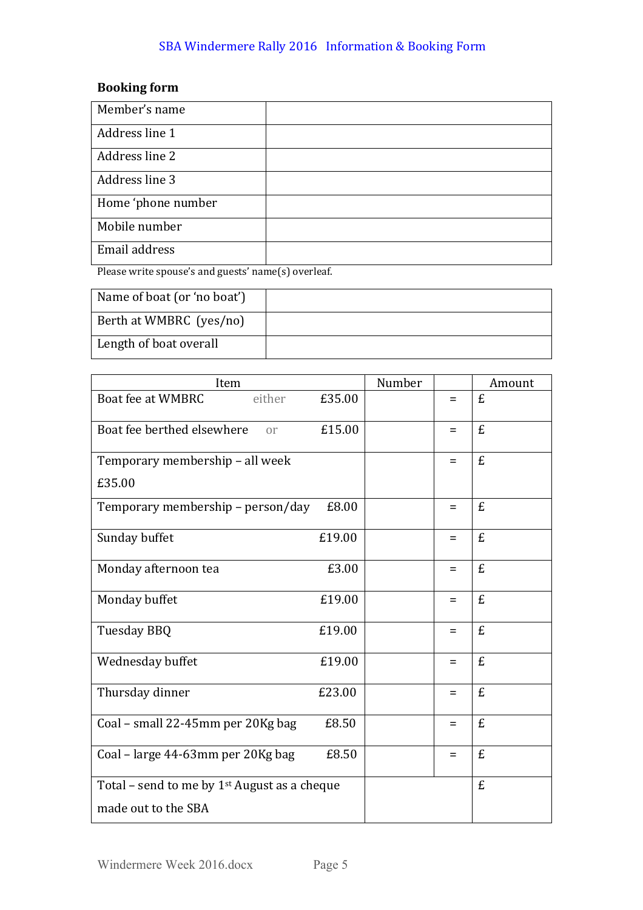## SBA Windermere Rally 2016 Information & Booking Form

## **Booking** form

| Member's name      |  |
|--------------------|--|
| Address line 1     |  |
| Address line 2     |  |
| Address line 3     |  |
| Home 'phone number |  |
| Mobile number      |  |
| Email address      |  |

Please write spouse's and guests' name(s) overleaf.

| Name of boat (or 'no boat') |  |
|-----------------------------|--|
| Berth at WMBRC (yes/no)     |  |
| Length of boat overall      |  |

| Item                                                     |        | Number |          | Amount |
|----------------------------------------------------------|--------|--------|----------|--------|
| Boat fee at WMBRC<br>either                              | £35.00 |        | $=$      | £      |
| Boat fee berthed elsewhere<br><sub>or</sub>              | £15.00 |        | Ξ        | £      |
| Temporary membership - all week                          |        |        | $=$      | £      |
| £35.00                                                   |        |        |          |        |
| Temporary membership - person/day                        | £8.00  |        | $=$      | £      |
| Sunday buffet                                            | £19.00 |        | $\equiv$ | £      |
| Monday afternoon tea                                     | £3.00  |        | $=$      | £      |
| Monday buffet                                            | £19.00 |        | $=$      | £      |
| Tuesday BBQ                                              | £19.00 |        | $=$      | £      |
| Wednesday buffet                                         | £19.00 |        | $=$      | £      |
| Thursday dinner                                          | £23.00 |        | $=$      | £      |
| Coal - small 22-45mm per 20Kg bag                        | £8.50  |        | $=$      | £      |
| Coal - large 44-63mm per 20Kg bag                        | £8.50  |        | $=$      | £      |
| Total - send to me by 1 <sup>st</sup> August as a cheque |        |        |          | £      |
| made out to the SBA                                      |        |        |          |        |